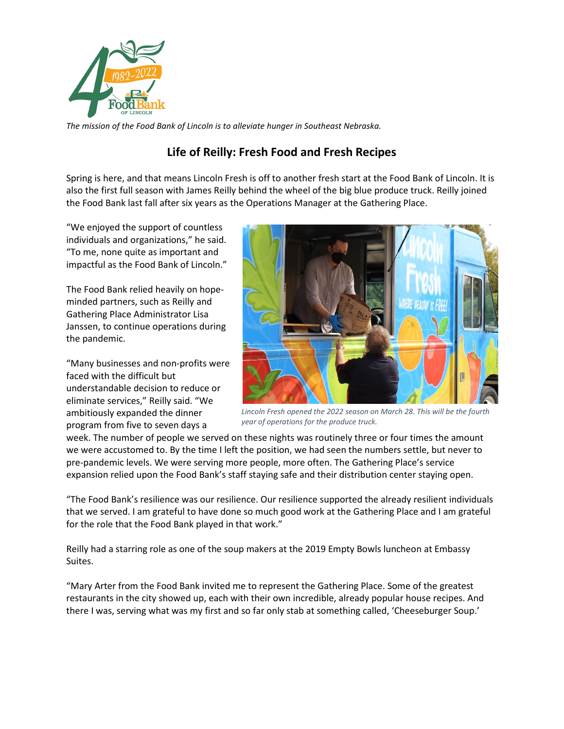

*The mission of the Food Bank of Lincoln is to alleviate hunger in Southeast Nebraska.* 

## **Life of Reilly: Fresh Food and Fresh Recipes**

Spring is here, and that means Lincoln Fresh is off to another fresh start at the Food Bank of Lincoln. It is also the first full season with James Reilly behind the wheel of the big blue produce truck. Reilly joined the Food Bank last fall after six years as the Operations Manager at the Gathering Place.

"We enjoyed the support of countless individuals and organizations," he said. "To me, none quite as important and impactful as the Food Bank of Lincoln."

The Food Bank relied heavily on hopeminded partners, such as Reilly and Gathering Place Administrator Lisa Janssen, to continue operations during the pandemic.

"Many businesses and non-profits were faced with the difficult but understandable decision to reduce or eliminate services," Reilly said. "We ambitiously expanded the dinner program from five to seven days a



*Lincoln Fresh opened the 2022 season on March 28. This will be the fourth year of operations for the produce truck.* 

week. The number of people we served on these nights was routinely three or four times the amount we were accustomed to. By the time I left the position, we had seen the numbers settle, but never to pre-pandemic levels. We were serving more people, more often. The Gathering Place's service expansion relied upon the Food Bank's staff staying safe and their distribution center staying open.

"The Food Bank's resilience was our resilience. Our resilience supported the already resilient individuals that we served. I am grateful to have done so much good work at the Gathering Place and I am grateful for the role that the Food Bank played in that work."

Reilly had a starring role as one of the soup makers at the 2019 Empty Bowls luncheon at Embassy Suites.

"Mary Arter from the Food Bank invited me to represent the Gathering Place. Some of the greatest restaurants in the city showed up, each with their own incredible, already popular house recipes. And there I was, serving what was my first and so far only stab at something called, 'Cheeseburger Soup.'